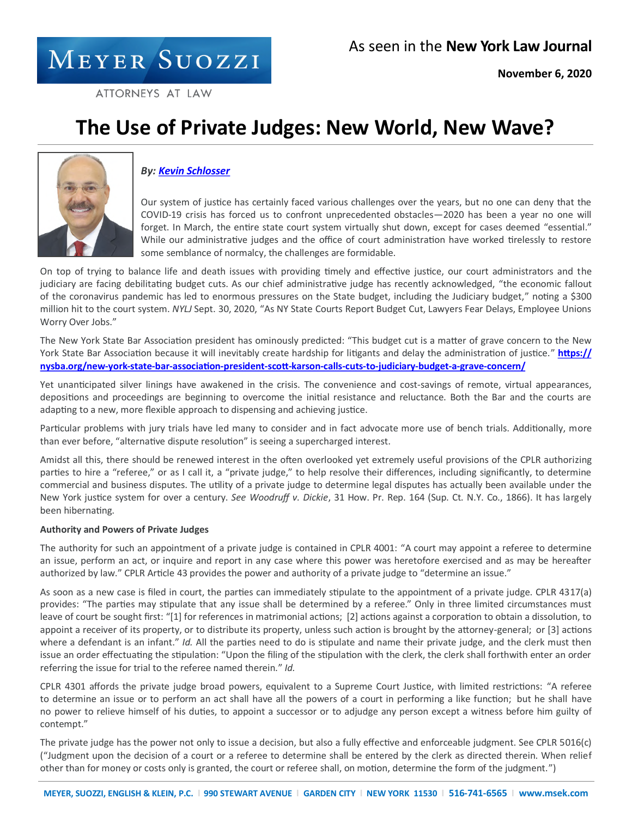# MEYER SUOZZI

ATTORNEYS AT LAW

# **The Use of Private Judges: New World, New Wave?**



## *By: [Kevin Schlosser](https://www.msek.com/attorney/schlosser-kevin/?sf_action=get_data&sf_data=results&_sfm_att_lastnameIndex=S)*

Our system of justice has certainly faced various challenges over the years, but no one can deny that the COVID-19 crisis has forced us to confront unprecedented obstacles―2020 has been a year no one will forget. In March, the entire state court system virtually shut down, except for cases deemed "essential." While our administrative judges and the office of court administration have worked tirelessly to restore some semblance of normalcy, the challenges are formidable.

On top of trying to balance life and death issues with providing timely and effective justice, our court administrators and the judiciary are facing debilitating budget cuts. As our chief administrative judge has recently acknowledged, "the economic fallout of the coronavirus pandemic has led to enormous pressures on the State budget, including the Judiciary budget," noting a \$300 million hit to the court system. *NYLJ* Sept. 30, 2020, "As NY State Courts Report Budget Cut, Lawyers Fear Delays, Employee Unions Worry Over Jobs."

The New York State Bar Association president has ominously predicted: "This budget cut is a matter of grave concern to the New York State Bar Association because it will inevitably create hardship for litigants and delay the administration of justice." **[https://](https://nysba.org/new-york-state-bar-association-president-scott-karson-calls-cuts-to-judiciary-budget-a-grave-concern/)** [nysba.org/new](https://nysba.org/new-york-state-bar-association-president-scott-karson-calls-cuts-to-judiciary-budget-a-grave-concern/)-york-state-bar-association-president-scott-karson-calls-cuts-to-judiciary-budget-a-grave-concern/

Yet unanticipated silver linings have awakened in the crisis. The convenience and cost-savings of remote, virtual appearances, depositions and proceedings are beginning to overcome the initial resistance and reluctance. Both the Bar and the courts are adapting to a new, more flexible approach to dispensing and achieving justice.

Particular problems with jury trials have led many to consider and in fact advocate more use of bench trials. Additionally, more than ever before, "alternative dispute resolution" is seeing a supercharged interest.

Amidst all this, there should be renewed interest in the often overlooked yet extremely useful provisions of the CPLR authorizing parties to hire a "referee," or as I call it, a "private judge," to help resolve their differences, including significantly, to determine commercial and business disputes. The utility of a private judge to determine legal disputes has actually been available under the New York justice system for over a century. *See Woodruff v. Dickie*, 31 How. Pr. Rep. 164 (Sup. Ct. N.Y. Co., 1866). It has largely been hibernating.

### **Authority and Powers of Private Judges**

The authority for such an appointment of a private judge is contained in CPLR 4001: "A court may appoint a referee to determine an issue, perform an act, or inquire and report in any case where this power was heretofore exercised and as may be hereafter authorized by law." CPLR Article 43 provides the power and authority of a private judge to "determine an issue."

As soon as a new case is filed in court, the parties can immediately stipulate to the appointment of a private judge. CPLR 4317(a) provides: "The parties may stipulate that any issue shall be determined by a referee." Only in three limited circumstances must leave of court be sought first: "[1] for references in matrimonial actions;  [2] actions against a corporation to obtain a dissolution, to appoint a receiver of its property, or to distribute its property, unless such action is brought by the attorney-general;  or [3] actions where a defendant is an infant." *Id.* All the parties need to do is stipulate and name their private judge, and the clerk must then issue an order effectuating the stipulation: "Upon the filing of the stipulation with the clerk, the clerk shall forthwith enter an order referring the issue for trial to the referee named therein." *Id.*

CPLR 4301 affords the private judge broad powers, equivalent to a Supreme Court Justice, with limited restrictions: "A referee to determine an issue or to perform an act shall have all the powers of a court in performing a like function;  but he shall have no power to relieve himself of his duties, to appoint a successor or to adjudge any person except a witness before him guilty of contempt."

The private judge has the power not only to issue a decision, but also a fully effective and enforceable judgment. See CPLR 5016(c) ("Judgment upon the decision of a court or a referee to determine shall be entered by the clerk as directed therein. When relief other than for money or costs only is granted, the court or referee shall, on motion, determine the form of the judgment.")